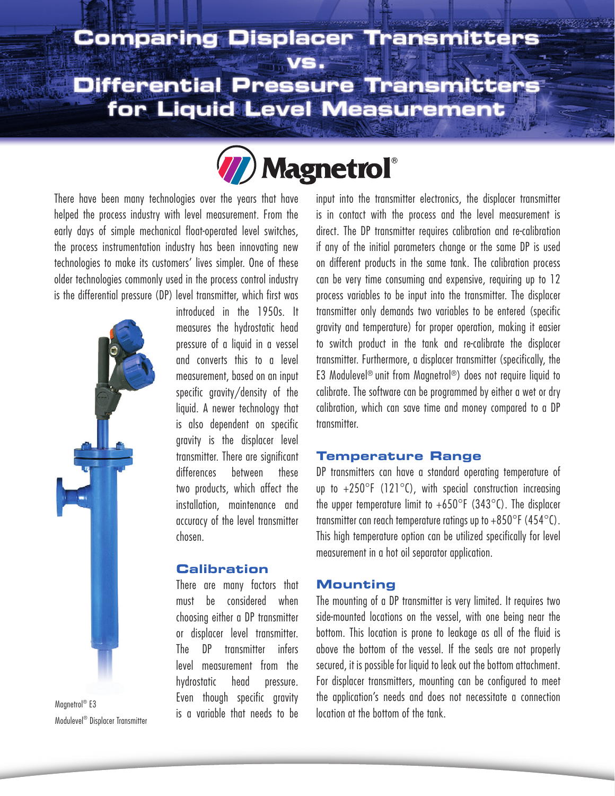# **Comparing Displacer**

**Differential Pressure Transmitters** for Liquid Level Measurement

**Magnetrol**<sup>®</sup>

There have been many technologies over the years that have helped the process industry with level measurement. From the early days of simple mechanical float-operated level switches, the process instrumentation industry has been innovating new technologies to make its customers' lives simpler. One of these older technologies commonly used in the process control industry is the differential pressure (DP) level transmitter, which first was



Modulevel® Displacer Transmitter

introduced in the 1950s. It measures the hydrostatic head pressure of a liquid in a vessel and converts this to a level measurement, based on an input specific gravity/density of the liquid. A newer technology that is also dependent on specific gravity is the displacer level transmitter. There are significant differences between these two products, which affect the installation, maintenance and accuracy of the level transmitter chosen.

## **Calibration**

There are many factors that must be considered when choosing either a DP transmitter or displacer level transmitter. The DP transmitter infers level measurement from the hydrostatic head pressure. Even though specific gravity  $\frac{1}{2}$  is a variable that needs to be Magnetrol® E3 input into the transmitter electronics, the displacer transmitter is in contact with the process and the level measurement is direct. The DP transmitter requires calibration and re-calibration if any of the initial parameters change or the same DP is used on different products in the same tank. The calibration process can be very time consuming and expensive, requiring up to 12 process variables to be input into the transmitter. The displacer transmitter only demands two variables to be entered (specific gravity and temperature) for proper operation, making it easier to switch product in the tank and re-calibrate the displacer transmitter. Furthermore, a displacer transmitter (specifically, the E3 Modulevel® unit from Magnetrol®) does not require liquid to calibrate. The software can be programmed by either a wet or dry calibration, which can save time and money compared to a DP transmitter.

#### **Temperature Range**

DP transmitters can have a standard operating temperature of up to  $+250^{\circ}$ F (121 $^{\circ}$ C), with special construction increasing the upper temperature limit to  $+650^{\circ}F(343^{\circ}C)$ . The displacer transmitter can reach temperature ratings up to  $+850^{\circ}$  F (454 $^{\circ}$ C). This high temperature option can be utilized specifically for level measurement in a hot oil separator application.

## **Mounting**

The mounting of a DP transmitter is very limited. It requires two side-mounted locations on the vessel, with one being near the bottom. This location is prone to leakage as all of the fluid is above the bottom of the vessel. If the seals are not properly secured, it is possible for liquid to leak out the bottom attachment. For displacer transmitters, mounting can be configured to meet the application's needs and does not necessitate a connection location at the bottom of the tank.